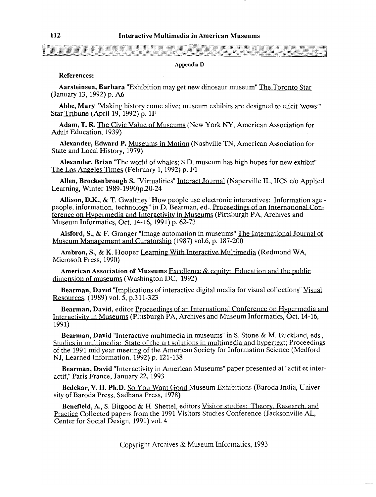## **Appendix D**

## References:

Aarsteinsen, Barbara "Exhibition may get new dinosaur museum" The Toronto Star (January 13, 1992) p. A6

Abbe, Mary "Making history come alive; museum exhibits are designed to elicit 'wows'" Star Tribune (April 19, 1992) p. 1F

Adam, T. R. The Civic Value of Museums (New York NY, American Association for Adult Education, 1939)

Alexander, Edward P. Museums in Motion (Nashville TN, American Association for State and Local History, 1979)

Alexander, Brian 'The world of whales; S.D. museum has high hopes for new exhibit" The Los Angeles Times (February 1, 1992) p.  $F1$ 

Allen, Brockenbrough S. "Virtualities" Interact Journal (Naperville IL, IICS c/o Applied Learning, Winter 1989-1990)p.20-24

Allison, D.K., & T. Gwaltney "How people use electronic interactives: Information agepeople, information, technology" in D. Bearman, ed., Proceedings of an International Conference on Hypermedia and Interactivity in Museum Museum Informatics, Oct. 14-16, 1991) p. 62-73

Ference on Hypermedia and Interactivity in<br>Museum Informatics, Oct. 14-16, 1991) p. 62<br>Alsford, S., & F. Granger "Image automa"<br>Museum Management and Curatorship (198 Alsford, S.,  $\&$  F. Granger "Image automation in museums" The International Journal of Museum Management and Curatorship (1987) vol.6, p. 187-200

Ambron, S., & K. Hooper Learning With Interactive Multimedia (Redmond WA, Microsoft Press, 1990)

American Association of Museums Excellence  $\&$  equity: Education and the public dimension of museums (Washington DC, 1992)

Bearman, David "Implications of interactive digital media for visual collections" Yisual Resources,  $(1989)$  vol. 5, p.311-323

Bearman, David, editor Proceedings of an International Conference on Hypermedia and Interactivity in Museums (Pittsburgh PA, Archives and Museum Informatics, Oct. 14-16, 1991)

Bearman, David "Interactive multimedia in museums" in S. Stone & M. Buckland, eds., Studies in multimedia: State of the art solutions in multimedia and hypertext; Proceedings of the 1991 mid year meeting of the American Society for Information Science (Medford NJ, Learned Information, 1992) p. 121-138

Bearman, David "Interactivity in American Museums" paper presented at "actif et interactif," Paris France, January 22, 1993

Bedekar, V. H. Ph.D. So You Want Good Museum Exhibitions (Baroda India, University of Baroda Press, Sadhana Press, 1978)

**Benefield, A., S. Bitgood & H. Shettel, editors Visitor studies: Theory, Research, and** Practice Collected papers from the 1991 Visitors Studies Conference (Jacksonville AL, Center for Social Design, 1991) vol. 4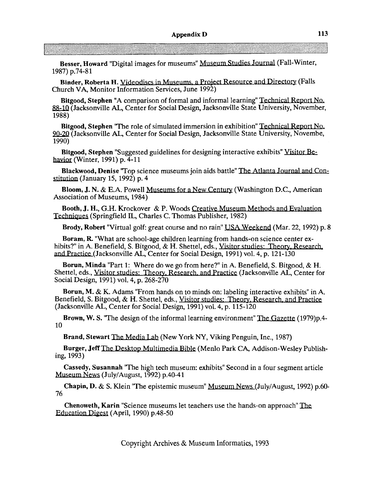Besser, Howard "Digital images for museums" Museum Studies Journal (Fall-Winter, 1987) p.74-81

Binder, Roberta H. Videodiscs in Museums, a Project Resource and Directory (Falls Church VA, Monitor Information Services, June 1992)

Bitgood, Stephen "A comparison of formal and informal learning" Technical Report No. (Jacksonville AL, Center for Social Design, Jacksonville State University, November, 1988) nal learning" Technical Report No.<br>
horville State University, November,<br>
n exhibition" Technical Report No.<br>
horville State University, Novembe,<br>
interactive exhibits" Visitor Be-<br>
pattle" The Atlanta Journal and Con-<br>
tu

Bitgood, Stephen "The role of simulated immersion in exhibition" Technical Report No. 90-20 (Jacksonville AL, Center for Social Design, Jacksonville State University, Novembe, 1990)

Bitgood, Stephen "Suggested guidelines for designing interactive exhibits" Visitor Behavior (Winter, 1991) p. 4-11

Blackwood, Denise "Top science museums join aids battle" The Atlanta Journal and Constitution (January 15, 1992) p. 4

Bloom, J. N. & E.A. Powell Museums for a New Century (Washington D.C., American Association of Museums, 1984)

Booth, J. H., G.H. Krockover & P. Woods Creative Museum N<br>Techniques (Springfield IL, Charles C. Thomas Publisher, 1982) H., G.H. Krockover & P. Woods Creative

Brody, Robert "Virtual golf: great course and no rain" USA Weekend (Mar. 22, 1992) p. 8

Boram, R "What are school-age children learning from hands-on science center exhibits?" in A. Benefield, S. Bitgood, & H. Shettel, eds., Visitor studies: Theory, Research, and Practice (Jacksonville AL, Center for Social Design, 1991) vol. 4, p. 121-130

Borun, Minda "Part 1: Where do we go from here?" in A. Benefield, S. Bitgood, & H. Shettel, eds., Visitor studies: Theory. Research. and Practice (Jacksonville AL, Center for Social Design, 1991) vol. 4, p. 268-270

Borun, M. & K. Adams "From hands on to minds on: labeling interactive exhibits" in A. Benefield, S. Bitgood, & H. Shettel, eds., Visitor studies: Theory, Research, and Practice (Jacksonville AL, Center for Social Design, 1991) vol. 4, p. 115-120

Brown, W. S. "The design of the informal learning environment" The Gazette (1979)p.4-10

Brand, Stewart The Media Lab (New York NY, Viking Penguin, Inc., 1987)

Burger, Jeff The Desktop Multimedia Bible (Menlo Park CA, Addison-Wesley Publishing, 1993)

Cassedy, Susannah 'The high tech museum: exhibits" Second in a four segment article Museum News (July/August, 1992) p.40-41

Chapin, D. & S. Klein "The epistemic museum" Museum News (July/August, 1992) p.60-76

Chenoweth, Karin "Science museums let teachers use the hands-on approach" The Education Digest (April, 1990) p.48-50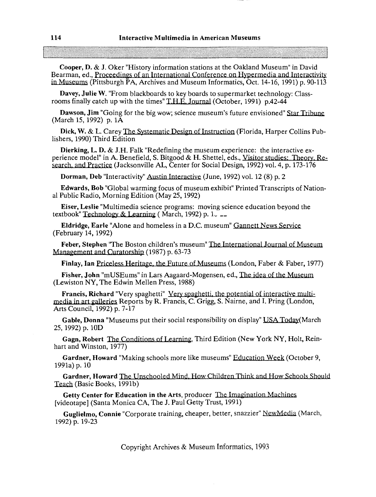Cooper, D. & J. Oker "History information stations at the Oakland Museum" in David Bearman, ed., Proceedings of an International Conference on Hypermedia and Interactivity in Museums (Pittsburgh PA, Archives and Museum Informatics, Oct.  $14-16$ , 1991) p. 90-113 Interactive Multimedia in American Museums<br>
Tooper, D. & J. Oker "History information stations at the Okkland Museum" in David<br>
Museums (Photographics of at International Collectrons, Only 1972) and Internations<br>
Museums

Davey, Julie W. "From blackboards to key boards to supermarket technology: Classrooms finally catch up with the times" T.H.E. Journal (October, 1991) p.42-44

Dawson, Jim "Going for the big wow; science museum's future envisioned" Star Tribune (March 15, 1992) p. 1A

Dick, W. & L. Carey The Systematic Design of Instruction (Florida, Harper Collins Publishers, 1990) Third Edition

Dierking, L. D. & J.H. Falk "Redefining the museum experience: the interactive experience model" in A. Benefield, S. Bitgood & H. Shettel, eds., Visitor studies: Practice (Jacksonville AL, Center for Social Design, 1992) vol. 4, p. 173-176 in David<br>
In David<br>
Interactivity<br>
1) p. 90-113<br>
: Class-<br>
car Tribune<br>
Collins Pub-<br>
tive ex-<br>
Theory, Re-<br>
173-176

Dorman, Deb "Interactivity" Austin Interactive (June, 1992) vol. 12 (8) p. 2

Edwards, Bob "Global warming focus of museum exhibit" Printed Transcripts of National Public Radio, Morning Edition (May 25, 1992)

Eiser, Leslie "Multimedia science programs: moving science education beyond the textbook" Technology & Learning (March, 1992) p. 1.

Eldridge, Earle "Alone and homeless in a D.C. museum" Gannett News Service (February 14, 1992)

Feber, Stephen "The Boston children's museum" The International Journal of Museum Management and Curatorship (1987) p. 63-73

Fisher, John "mUSEums" in Lars Aagaard-Mogensen, ed., The idea of the Museum (Lewiston NY, The Edwin Mellen Press, 1988)

Francis, Richard "Very spaghetti" Very spaghetti, the potential of interactive multi-Francis, Richard "Very spaghetti" Very spaghetti, the potential of interactive multi-<br>media in art galleries Reports by R. Francis, C. Grigg, S. Nairne, and I. Pring (London, Arts Council, 1992) p. 7-17 media in art galleries Reports by R. Francis, C. Grigg, S. Nairne, and I. Pring (London,<br>Arts Council, 1992) p. 7-17<br>**Gable, Donna** "Museums put their social responsibility on display" <u>USA Today</u>(March<br>25, 1992) p. 10D<br>**G** 

Gable, Donna "Museums put their social responsibility on display" USA Today (March 25, 1992) p. 10D

hart and Winston, 1977)

Gardner, Howard "Making schools more like museums" Education Week (October 9, 1991a) p. 10

Gardner, Howard The Unschooled Mind. How Children Think and How Schools Should Teach (Basic Books, 1991b)

Getty Center for Education in the Arts, producer The Imagination Machines [videotape] (Santa Monica CA, The J. Paul Getty Trust, 1991)

Guglielmo, Connie "Corporate training, cheaper, better, snazzier" NewMedia (March, 1992) p. 19-23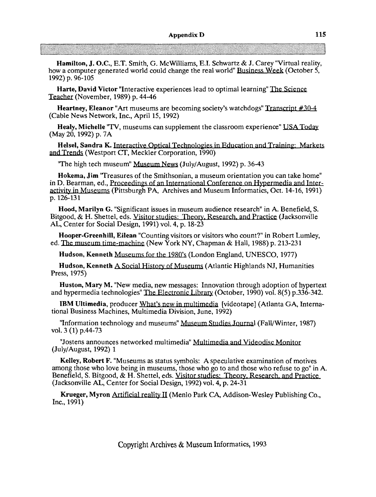Hamilton, J. O.C., E.T. Smith, G. McWilliams, E.I. Schwartz & J. Carey "Virtual reality, how a computer generated world could change the real world" **Business** We& (October 5, 1992) p. 96-105

Harte, David Victor "Interactive experiences lead to optimal learning" The Science Teacher (November, 1989) p. 44-46

**Heartney, Eleanor "Art museums are becoming society's watchdogs" Transcript**  $\#30-4$ (Cable News Network, Inc., April 15,1992)

Healy, Michelle "TV, museums can supplement the classroom experience" USA Today (May 20,1992) p. 7A

Helsel, Sandra K. Interactive Optical Technologies in Education and Training: Markets and (Westport **CT,** Meckler Corporation, 1990)

'The high tech museum" Museum News (July/August, 1992) p. 36-43

Hokema, Jim 'Treasures of the Smithsonian, a museum orientation you can take home" in D. Bearman, ed., Proceedings of an International Conference on Hypermedia and Interactivity in Museums (Pittsburgh PA, Archives and Museum Informatics, Oct. 14-16, 1991) p. 126-131

Hood, Marilyn G. "Significant issues in museum audience research" in A. Benefield, S. Bitgood, & H. Shettel, eds. Visitor studies: Theory. Research, and Practice (Jacksonville **AL,** Center for Social Design, 1991) vol. 4, p. 18-23 Hood, Marilyn G. "Significant issues in museum audience research" in A. Benefiel<br>Bitgood, & H. Shettel, eds. Visitor studies: Theory, Research, and Practice (Jackson<br>AL, Center for Social Design, 1991) vol. 4, p. 18-23<br>Hoo

Hooper-Greenhill, Eilean "Counting visitors or visitors who count?" in Robert Lumley, ed. The museum time-machine (New York NY, Chapman & Hall, 1988) p. 213-231

Hudson, Kenneth Museums for the 1980's (London England, UNESCO, 1977)

Hudson, Kenneth A Social History of Museums (Atlantic Highlands NJ, Humanities Press, 1975)

Huston, Mary M. "New media, new messages: Innovation through adoption of hypertext and hypermedia technologies" The Electronic Library (October, 1990) vol. 8(5) p.336-342.

IBM Ultimedia, producer What's new in multimedia [videotape] (Atlanta GA, International Business Machines, Multimedia Division, June, 1992)

"Information technology and museums" Museum Studies Journal (Fall/Winter, 1987) vol. 3 (1) p.44-73

"Jostens announces networked multimedia" Multimedia and Videodisc Monitor (July/August, 1992) 1

Kelley, Robert F. "Museums as status symbols: A speculative examination of motives among those who love being in museums, those who go to and those who refuse to go" in A.<br>Benefield, S. Bitgood, & H. Shettel, eds. Visitor studies: Theory, Research, and Practice (Jacksonville **AL,** Center for Social Design, 1992) vol. 4, p. 24-31

Krueger, Myron Artificial reality II (Menlo Park CA, Addison-Wesley Publishing Co., Inc., 1991)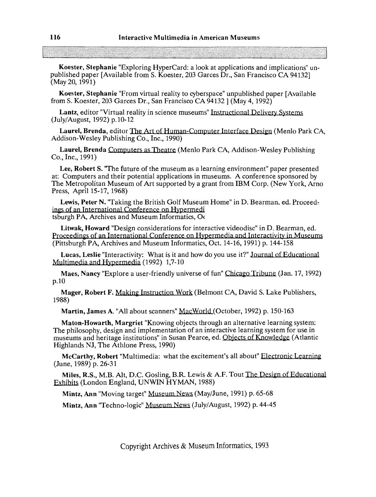Koester, Stephanie "Exploring Hypercard: a look at applications and implications" unpublished paper [Available from S. Koester, 203 Garces Dr., San Francisco CA 941321 (May 20, 1991)

Koester, Stephanie "From virtual reality to cyberspace" unpublished paper [Available from S. Koester, 203 Garces Dr., San Francisco CA 94132 ] (May 4,1992)

Lantz, editor "Virtual reality in science museums" Instructional Delivery Systems (July/August, 1992) p. 10- 12

Laurel, Brenda, editor The Art of Human-Computer Interface Design (Menlo Park CA, Addison-Wesley Publishing Co., Inc., 1990)

Laurel, Brenda Computers as Theatre (Menlo Park CA, Addison-Wesley Publishing Co., Inc., 1991)

Lee, Robert S. 'The future of the museum as a learning environment" paper presented at: Computers and their potential applications in museums. A conference sponsored by The Metropolitan Museum of Art supported by a grant from IBM Corp. (New York, Arno Press, April 15-17, 1968) Lantz, editor "Virtual relativity in science museums" Instructional Delivery Systems<br>
Laurel, Brenda, editor The Art of Human-Computer Interface Design (Menlo Park<br>
Laurel, Brenda, editor The Art of Human-Computer Interfac

Lewis, Peter N. "Taking the British Golf Museum Home" in D. Bearman, ed. Proceed-<br>ings of an International Conference on Hypermedi tsburgh PA, Archives and Museum Informatics,  $O<sub>C</sub>$ 

Litwak, Howard "Design considerations for interactive videodisc" in D. Bearman, ed. Proceedings of an International Conference on Hypermedia and Interactivity in Museums (Pittsburgh PA, Archives and Museum Informatics, Oct. 14-16,1991) p. 144-158

Lucas, Leslie "Interactivity: What is it and how do you use it?" Journal of Educational Multimedia and Hypermedia (1992) 1,7-10

Maes, Nancy "Explore a user-friendly universe of fun" Chicago Tribung (Jan. 17, 1992) p.10

Mager, Robert F. Making Instruction Work (Belmont CA, David S. Lake Publishers, 1988)

Martin, James **A.** "All about scanners" MacWorld (October, 1992) p. 150-163

Maton-Howarth, Margriet "Knowing objects through an alternative learning system: The philosophy, design and implementation of an interactive learning system for use in museums and heritage institutions" in Susan Pearce, ed. Objects of Knowledge (Atlantic Highlands NJ, The Athlone Press, 1990)

McCarthy, Robert "Multimedia: what the excitement's all about" **Electronic** Learning (June, 1989) p. 26-31

Miles, R.S., M.B. Alt, D.C. Gosling, B.R. Lewis & A.F. Tout The Design of Educational Exhibits (London England, UNWIN HY MAN, 1988)

Mintz, Ann "Moving target" Museum News (May/June, 1991) p. 65-68

Mintz, Ann "Techno-logic" Museum News (July/August, 1992) p. 44-45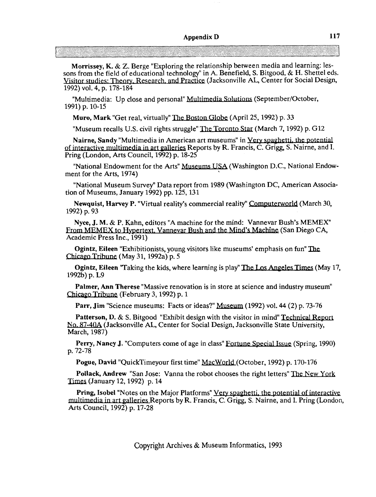**Morrissey, K.** & 2. Berge "Exploring the relationship between media and learning: lessons from the field of educational technology" in A. Benefield, S. Bitgood, & H. Shettel eds. Visitor studies: Theory, Research, and Practice (Jacksonville AL, Center for Social Design, 1992) vol. 4, p. 178-184 **Nairing, Sandy "Multimedia in American art museums" in Very Sandy American art must are solved in A. Benefield, S. Bitgood, & H. Shettel eds<br>
Visitor studies: Theory. Research. and Practice (Jacksonville AL, Center for So** 

"Multimedia: Up close and personal" Multimedia Solutions (September/October, 1991) p. 10-15

**Muro, Mark** "Get real, virtually" The Boston Globe (April 25, 1992) p. 33

"Museum recalls U.S. civil rights struggle" The Toronto Star (March 7, 1992) p. G12

Pring (London, Arts Council, 1992) p. 18-25

"National Endowment for the Arts" Museums USA (Washington D.C., National Endowment for the Arts, 1974)

"National Museum Survey" Data report from 1989 (Washington DC, American Association of Museums, January 1992) pp.  $125$ , 131

Newquist, Harvey P. "Virtual reality's commercial reality" Computerworld (March 30, 1992) p. 93

**Nyce, J. M.** & **P.** Kahn, editors "A machine for the mind: Vannevar Bush's MEMEX" From MEMEX to Hypertext, Vannevar Bush and the Mind's Machine (San Diego CA, Academic Press Inc., 1991)

**Ogintz, Eileen** "Exhibitionists, young visitors like museums' emphasis on fun" Chicago Tribune (May 31, 1992a) p. 5

**Ogintz, Eileen 'Taking the kids, where learning is play' The Los Angeles Times (May 17, 1992b) p. L9** 

**Palmer, Ann Therese** "Massive renovation is in store at science and industry museum" Chicago Tribune (February 3, 1992) p. 1

**Parr, Jim** "Science museums: Facts or ideas?" Museum (1992) vol. 44 (2) **p.** 73-76

**Patterson, D. & S. Bitgood "Exhibit design with the visitor in mind" Technical Report N-4** (Jacksonville **AL,** Center for Social Design, Jacksonville State University, March, 1987)

**Perry, Nancy J.** "Computers come of age in class" Fortune Special Issue (Spring, 1990) p. 72-78

**Pogue, David** "QuickTimeyour first time" MacWorld (October, 1992) p. 170-176

**Pollack, Andrew** "San Jose: Vanna the robot chooses the right letters" The New York Times (January 12,1992) p. 14

**Pring, Isobel "Notes on the Major Platforms" Very spaghetti, the potential of interactive multimedia in art galleries Reports by R. Francis, C. Grigg, S. Nairne, and I. Pring (London,** Arts Council, 1992) p. 17-28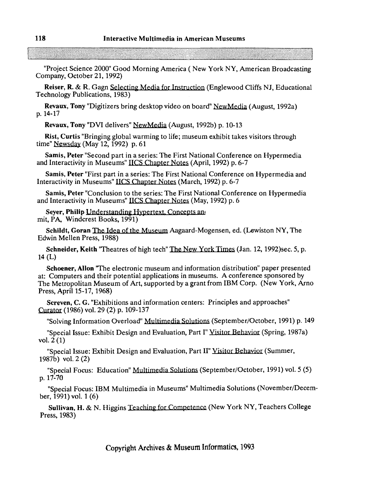"Project Science 2000 Good Morning America ( New York NY, American Broadcasting Company, October 21, 1992)

Reiser, R. & R. Gagn Selecting Media for Instruction (Englewood Cliffs NJ, Educational Technology Publications, 1983)

Revaux, Tony "Digitizers bring desktop video on board" New Media (August, 1992a) p. 14-17

Revaux, Tony "DVI delivers" NewMedia (August, 1992b) p. 10-13

Rist, Curtis "Bringing global warming to life; museum exhibit takes visitors through time" *Newsdav* (May 12, 1992) p. 61

Samis, Peter "Second part in a series: The First National Conference on Hypermedia and Interactivity in Museums" **UCS** Chapter Notes (April, 1992) p. 6-7

Samis, Peter "First part in a series: The First National Conference on Hypermedia and Interactivity in Museums" IICS Chapter Notes (March, 1992) p. 6-7

Samis, Peter "Conclusion to the series: The First National Conference on Hypermedia and Interactivity in Museums" IICS Chapter Notes (May, 1992) p. 6<br>Seyer, Philip Understanding Hypertext, Concepts and

mit, PA, Windcrest Books, 1991)

Schildt, Goran The Idea of the Museum Aagaard-Mogensen, ed. (Lewiston NY, The Edwin Mellen Press, 1988)

Schneider, Keith 'Theatres of high tech" The New York Times (Jan. 12, 1992)sec. 5, p. 14 (L)

Schoener, Allon 'The electronic museum and information distribution" paper presented at: Computers and their potential applications in museums. A conference sponsored by The Metropolitan Museum of Art, supported by a grant from IBM Corp. (New York, Arno Press, April 15-17, 1968)

Screven, C. G. "Exhibitions and information centers: Principles and approaches" Curatar (1986) vol. 29 (2) p. 109-137

"Solving Information Overload" <u>Multimedia Solutions</u> (September/October, 1991) p. 149<br>"Special Issue: Exhibit Design and Evaluation, Part I" <u>Visitor Behavior</u> (Spring, 1987a)

vol. 2 (1)

"Special Issue: Exhibit Design and Evaluation, Part II" Visitor Behavior (Summer, 1987b) vol. 2 (2)

"Special Focus: Education" Multimedia Solutions (September/October, 1991) vol. 5 (5) p. 17-70

"Special Focus: IBM Multimedia in Museums" Multimedia Solutions (November/December, 1991) val. 1 (6)

Sullivan, H. & N. Higgins Teaching for Competence (New York NY, Teachers College Press, 1983)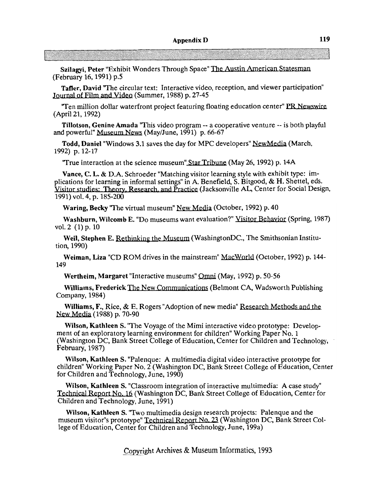Szilagyi, Peter "Exhibit Wonders Through Space" The **Austin-**  (February 16,1991) p.5

Tafler, David "The circular text: Interactive video, reception, and viewer participation" Journal of Film and Video (Summer, 1988) p. 27-45

"Ten million dollar waterfront project featuring floating education center" PR Newswire (April 21,1992)

Tillotson, Genine Amada 'This video program -- a cooperative venture -- is both playful and powerful" Museum News (May/June, 1991) p. 66-67

Todd, Daniel "Windows 3.1 saves the day for MPC developers" NewMedia (March, 1992) p. 12-17

"True interaction at the science museum" Star Tribune (May 26, 1992) p. 14A

Vance, C. L. & D.A. Schroeder "Matching visitor learning style with exhibit type: implications for learning in informal settings" in A. Benefield, S. Bitgood, & H. Shettel, eds. Yisitor studies: Theory, Research, and Practice (Jacksonville AL, Center for Social Design, 1991) vol. 4, p. 185-200

Waring, Becky "The virtual museum" New Media (October, 1992) p. 40

Washburn, Wilcomb E. "Do museums want evaluation?" Visitor Behavior (Spring, 1987) vol. 2 (1) p. 10

Weil, Stephen E. Rethinking the Museum (WashingtonDC., The Smithsonian Institution, 1990)

Weiman, Liza "CD ROM drives in the mainstream" MacWorld (October, 1992) p. 144-149

Wertheim, Margaret "Interactive museums" Omni (May, 1992) p. 50-56<br>Williams, Frederick The New Communications (Belmont CA, Wadsworth Publishing Company, 1984)

Williams, F., Rice, & E. Rogers "Adoption of new media" Research Methods and the **New** Media (1988) p. 70-90

Wilson, Kathleen S. 'The Voyage of the Mimi interactive video prototype: Development of an exploratory learning environment for children" Working Paper No. 1 (Washington DC, Bank Street College of Education, Center for Children and Technology, February, 1987)

Wilson, Kathleen S. "Palenque: A multimedia digital video interactive prototype for children" Working Paper No. 2 (Washington DC, Bank Street College of Education, Center for Children and Technology, June, 1990)

Wilson, Kathleen S. "Classroom integration of interactive multimedia: A case study" Technical Report No. 16 (Washington DC, Bank Street College of Education, Center for Children and Technology, June, 1991)

Wilson, Kathleen S. 'Two multimedia design research projects: Palenque and the museum visitor's prototype" Technical Report No. 23 (Washington DC, Bank Street College of Education, Center for Children and Technology, June, 199a)